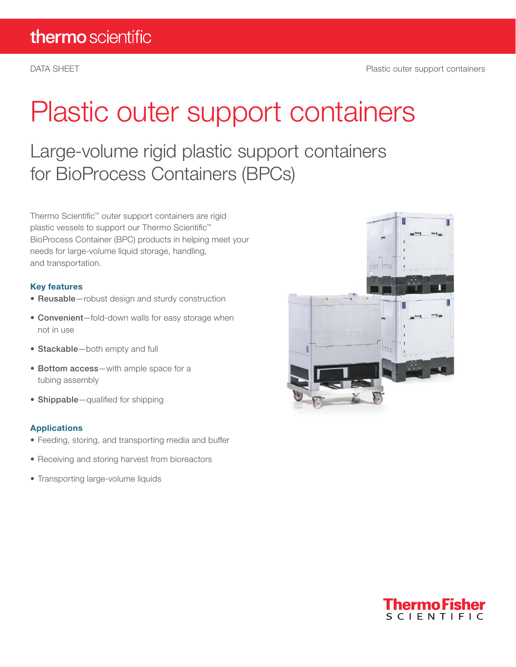# Plastic outer support containers

Large-volume rigid plastic support containers for BioProcess Containers (BPCs)

Thermo Scientific™ outer support containers are rigid plastic vessels to support our Thermo Scientific™ BioProcess Container (BPC) products in helping meet your needs for large-volume liquid storage, handling, and transportation.

### Key features

- Reusable-robust design and sturdy construction
- Convenient—fold-down walls for easy storage when not in use
- Stackable—both empty and full
- Bottom access—with ample space for a tubing assembly
- Shippable–qualified for shipping

#### Applications

- Feeding, storing, and transporting media and buffer
- Receiving and storing harvest from bioreactors
- Transporting large-volume liquids